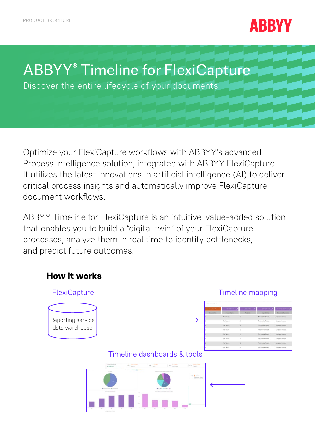# **ABBYY**

# ABBYY® Timeline for FlexiCapture

Discover the entire lifecycle of your documents

Optimize your FlexiCapture workflows with ABBYY's advanced Process Intelligence solution, integrated with ABBYY FlexiCapture. It utilizes the latest innovations in artificial intelligence (AI) to deliver critical process insights and automatically improve FlexiCapture document workflows.

ABBYY Timeline for FlexiCapture is an intuitive, value-added solution that enables you to build a "digital twin" of your FlexiCapture processes, analyze them in real time to identify bottlenecks, and predict future outcomes.

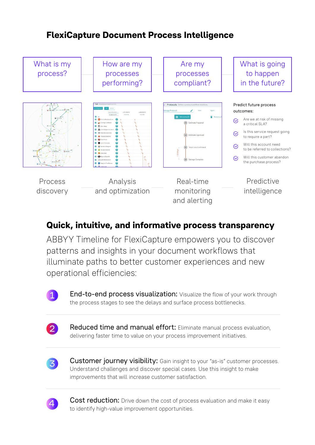## **FlexiCapture Document Process Intelligence**



### **Quick, intuitive, and informative process transparency**

ABBYY Timeline for FlexiCapture empowers you to discover patterns and insights in your document workflows that illuminate paths to better customer experiences and new operational efficiencies:



**End-to-end process visualization:** Visualize the flow of your work through the process stages to see the delays and surface process bottlenecks.



Reduced time and manual effort: Eliminate manual process evaluation, delivering faster time to value on your process improvement initiatives.



Customer journey visibility: Gain insight to your "as-is" customer processes. Understand challenges and discover special cases. Use this insight to make improvements that will increase customer satisfaction.



Cost reduction: Drive down the cost of process evaluation and make it easy to identify high-value improvement opportunities.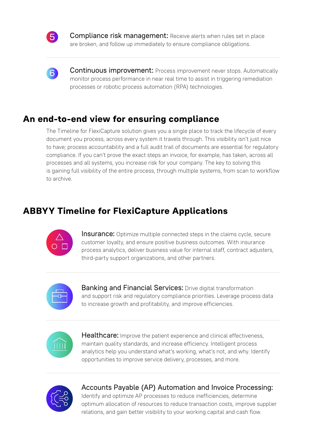

**Compliance risk management:** Receive alerts when rules set in place are broken, and follow up immediately to ensure compliance obligations.



**Continuous improvement:** Process improvement never stops. Automatically monitor process performance in near real time to assist in triggering remediation processes or robotic process automation (RPA) technologies.

#### **An end-to-end view for ensuring compliance**

The Timeline for FlexiCapture solution gives you a single place to track the lifecycle of every document you process, across every system it travels through. This visibility isn't just nice to have; process accountability and a full audit trail of documents are essential for regulatory compliance. If you can't prove the exact steps an invoice, for example, has taken, across all processes and all systems, you increase risk for your company. The key to solving this is gaining full visibility of the entire process, through multiple systems, from scan to workflow to archive.

### **ABBYY Timeline for FlexiCapture Applications**



**Insurance:** Optimize multiple connected steps in the claims cycle, secure customer loyalty, and ensure positive business outcomes. With insurance process analytics, deliver business value for internal staff, contract adjusters, third-party support organizations, and other partners.



**Banking and Financial Services:** Drive digital transformation and support risk and regulatory compliance priorities. Leverage process data to increase growth and profitability, and improve efficiencies.



Healthcare: Improve the patient experience and clinical effectiveness, maintain quality standards, and increase efficiency. Intelligent process analytics help you understand what's working, what's not, and why. Identify opportunities to improve service delivery, processes, and more.



Accounts Payable (AP) Automation and Invoice Processing: Identify and optimize AP processes to reduce inefficiencies, determine

optimum allocation of resources to reduce transaction costs, improve supplier relations, and gain better visibility to your working capital and cash flow.